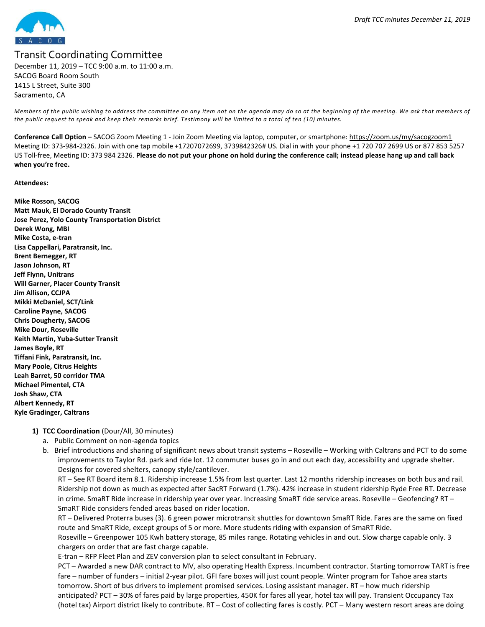

# Transit Coordinating Committee

December 11, 2019 – TCC 9:00 a.m. to 11:00 a.m. SACOG Board Room South 1415 L Street, Suite 300 Sacramento, CA

Members of the public wishing to address the committee on any item not on the agenda may do so at the beginning of the meeting. We ask that members of the public request to speak and keep their remarks brief. Testimony will be limited to a total of ten (10) minutes.

Conference Call Option - SACOG Zoom Meeting 1 - Join Zoom Meeting via laptop, computer, or smartphone: https://zoom.us/my/sacogzoom1 Meeting ID: 373-984-2326. Join with one tap mobile +17207072699, 3739842326# US. Dial in with your phone +1 720 707 2699 US or 877 853 5257 US Toll-free, Meeting ID: 373 984 2326. Please do not put your phone on hold during the conference call; instead please hang up and call back when you're free.

#### Attendees:

Mike Rosson, SACOG Matt Mauk, El Dorado County Transit Jose Perez, Yolo County Transportation District Derek Wong, MBI Mike Costa, e-tran Lisa Cappellari, Paratransit, Inc. Brent Bernegger, RT Jason Johnson, RT Jeff Flynn, Unitrans Will Garner, Placer County Transit Jim Allison, CCJPA Mikki McDaniel, SCT/Link Caroline Payne, SACOG Chris Dougherty, SACOG Mike Dour, Roseville Keith Martin, Yuba-Sutter Transit James Boyle, RT Tiffani Fink, Paratransit, Inc. Mary Poole, Citrus Heights Leah Barret, 50 corridor TMA Michael Pimentel, CTA Josh Shaw, CTA Albert Kennedy, RT Kyle Gradinger, Caltrans

# 1) TCC Coordination (Dour/All, 30 minutes)

- a. Public Comment on non-agenda topics
- b. Brief introductions and sharing of significant news about transit systems Roseville Working with Caltrans and PCT to do some improvements to Taylor Rd. park and ride lot. 12 commuter buses go in and out each day, accessibility and upgrade shelter. Designs for covered shelters, canopy style/cantilever.

RT – See RT Board item 8.1. Ridership increase 1.5% from last quarter. Last 12 months ridership increases on both bus and rail. Ridership not down as much as expected after SacRT Forward (1.7%). 42% increase in student ridership Ryde Free RT. Decrease in crime. SmaRT Ride increase in ridership year over year. Increasing SmaRT ride service areas. Roseville – Geofencing? RT – SmaRT Ride considers fended areas based on rider location.

RT – Delivered Proterra buses (3). 6 green power microtransit shuttles for downtown SmaRT Ride. Fares are the same on fixed route and SmaRT Ride, except groups of 5 or more. More students riding with expansion of SmaRT Ride.

Roseville – Greenpower 105 Kwh battery storage, 85 miles range. Rotating vehicles in and out. Slow charge capable only. 3 chargers on order that are fast charge capable.

E-tran – RFP Fleet Plan and ZEV conversion plan to select consultant in February.

PCT – Awarded a new DAR contract to MV, also operating Health Express. Incumbent contractor. Starting tomorrow TART is free fare – number of funders – initial 2-year pilot. GFI fare boxes will just count people. Winter program for Tahoe area starts tomorrow. Short of bus drivers to implement promised services. Losing assistant manager. RT – how much ridership anticipated? PCT – 30% of fares paid by large properties, 450K for fares all year, hotel tax will pay. Transient Occupancy Tax (hotel tax) Airport district likely to contribute. RT – Cost of collecting fares is costly. PCT – Many western resort areas are doing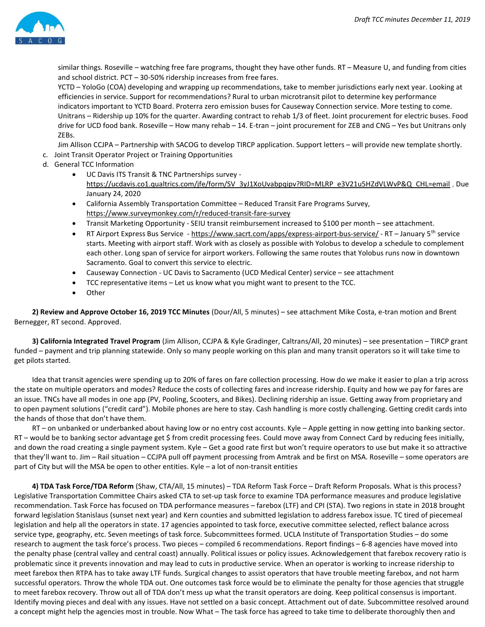

similar things. Roseville – watching free fare programs, thought they have other funds. RT – Measure U, and funding from cities and school district. PCT – 30-50% ridership increases from free fares.

YCTD – YoloGo (COA) developing and wrapping up recommendations, take to member jurisdictions early next year. Looking at efficiencies in service. Support for recommendations? Rural to urban microtransit pilot to determine key performance indicators important to YCTD Board. Proterra zero emission buses for Causeway Connection service. More testing to come. Unitrans – Ridership up 10% for the quarter. Awarding contract to rehab 1/3 of fleet. Joint procurement for electric buses. Food drive for UCD food bank. Roseville – How many rehab – 14. E-tran – joint procurement for ZEB and CNG – Yes but Unitrans only ZEBs.

Jim Allison CCJPA – Partnership with SACOG to develop TIRCP application. Support letters – will provide new template shortly.

- c. Joint Transit Operator Project or Training Opportunities
- d. General TCC Information
	- UC Davis ITS Transit & TNC Partnerships survey https://ucdavis.co1.qualtrics.com/jfe/form/SV\_3yJ1XoUvabpqipv?RID=MLRP\_e3V21u5HZdVLWvP&Q\_CHL=email , Due January 24, 2020
	- California Assembly Transportation Committee Reduced Transit Fare Programs Survey, https://www.surveymonkey.com/r/reduced-transit-fare-survey
	- Transit Marketing Opportunity SEIU transit reimbursement increased to \$100 per month see attachment.
	- RT Airport Express Bus Service https://www.sacrt.com/apps/express-airport-bus-service/ RT January 5th service starts. Meeting with airport staff. Work with as closely as possible with Yolobus to develop a schedule to complement each other. Long span of service for airport workers. Following the same routes that Yolobus runs now in downtown Sacramento. Goal to convert this service to electric.
	- Causeway Connection UC Davis to Sacramento (UCD Medical Center) service see attachment
	- TCC representative items Let us know what you might want to present to the TCC.
	- Other

2) Review and Approve October 16, 2019 TCC Minutes (Dour/All, 5 minutes) - see attachment Mike Costa, e-tran motion and Brent Bernegger, RT second. Approved.

3) California Integrated Travel Program (Jim Allison, CCJPA & Kyle Gradinger, Caltrans/All, 20 minutes) – see presentation – TIRCP grant funded – payment and trip planning statewide. Only so many people working on this plan and many transit operators so it will take time to get pilots started.

Idea that transit agencies were spending up to 20% of fares on fare collection processing. How do we make it easier to plan a trip across the state on multiple operators and modes? Reduce the costs of collecting fares and increase ridership. Equity and how we pay for fares are an issue. TNCs have all modes in one app (PV, Pooling, Scooters, and Bikes). Declining ridership an issue. Getting away from proprietary and to open payment solutions ("credit card"). Mobile phones are here to stay. Cash handling is more costly challenging. Getting credit cards into the hands of those that don't have them.

RT – on unbanked or underbanked about having low or no entry cost accounts. Kyle – Apple getting in now getting into banking sector. RT – would be to banking sector advantage get \$ from credit processing fees. Could move away from Connect Card by reducing fees initially, and down the road creating a single payment system. Kyle – Get a good rate first but won't require operators to use but make it so attractive that they'll want to. Jim – Rail situation – CCJPA pull off payment processing from Amtrak and be first on MSA. Roseville – some operators are part of City but will the MSA be open to other entities. Kyle – a lot of non-transit entities

4) TDA Task Force/TDA Reform (Shaw, CTA/All, 15 minutes) – TDA Reform Task Force – Draft Reform Proposals. What is this process? Legislative Transportation Committee Chairs asked CTA to set-up task force to examine TDA performance measures and produce legislative recommendation. Task Force has focused on TDA performance measures – farebox (LTF) and CPI (STA). Two regions in state in 2018 brought forward legislation Stanislaus (sunset next year) and Kern counties and submitted legislation to address farebox issue. TC tired of piecemeal legislation and help all the operators in state. 17 agencies appointed to task force, executive committee selected, reflect balance across service type, geography, etc. Seven meetings of task force. Subcommittees formed. UCLA Institute of Transportation Studies – do some research to augment the task force's process. Two pieces – compiled 6 recommendations. Report findings – 6-8 agencies have moved into the penalty phase (central valley and central coast) annually. Political issues or policy issues. Acknowledgement that farebox recovery ratio is problematic since it prevents innovation and may lead to cuts in productive service. When an operator is working to increase ridership to meet farebox then RTPA has to take away LTF funds. Surgical changes to assist operators that have trouble meeting farebox, and not harm successful operators. Throw the whole TDA out. One outcomes task force would be to eliminate the penalty for those agencies that struggle to meet farebox recovery. Throw out all of TDA don't mess up what the transit operators are doing. Keep political consensus is important. Identify moving pieces and deal with any issues. Have not settled on a basic concept. Attachment out of date. Subcommittee resolved around a concept might help the agencies most in trouble. Now What – The task force has agreed to take time to deliberate thoroughly then and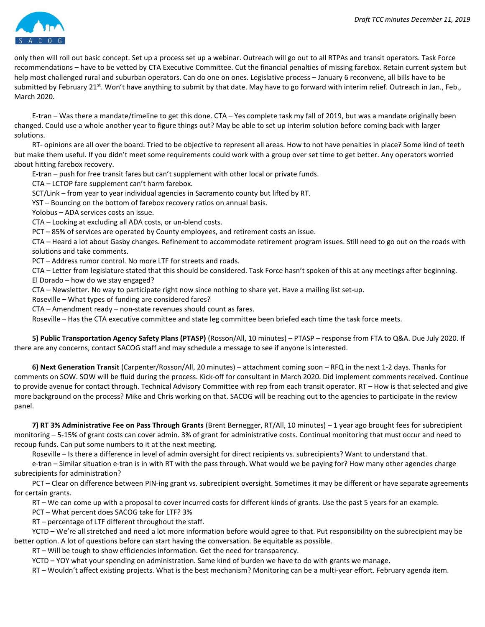

only then will roll out basic concept. Set up a process set up a webinar. Outreach will go out to all RTPAs and transit operators. Task Force recommendations – have to be vetted by CTA Executive Committee. Cut the financial penalties of missing farebox. Retain current system but help most challenged rural and suburban operators. Can do one on ones. Legislative process – January 6 reconvene, all bills have to be submitted by February 21<sup>st</sup>. Won't have anything to submit by that date. May have to go forward with interim relief. Outreach in Jan., Feb., March 2020.

E-tran – Was there a mandate/timeline to get this done. CTA – Yes complete task my fall of 2019, but was a mandate originally been changed. Could use a whole another year to figure things out? May be able to set up interim solution before coming back with larger solutions.

RT- opinions are all over the board. Tried to be objective to represent all areas. How to not have penalties in place? Some kind of teeth but make them useful. If you didn't meet some requirements could work with a group over set time to get better. Any operators worried about hitting farebox recovery.

E-tran – push for free transit fares but can't supplement with other local or private funds.

CTA – LCTOP fare supplement can't harm farebox.

SCT/Link – from year to year individual agencies in Sacramento county but lifted by RT.

YST – Bouncing on the bottom of farebox recovery ratios on annual basis.

Yolobus – ADA services costs an issue.

CTA – Looking at excluding all ADA costs, or un-blend costs.

PCT – 85% of services are operated by County employees, and retirement costs an issue.

CTA – Heard a lot about Gasby changes. Refinement to accommodate retirement program issues. Still need to go out on the roads with solutions and take comments.

PCT – Address rumor control. No more LTF for streets and roads.

CTA – Letter from legislature stated that this should be considered. Task Force hasn't spoken of this at any meetings after beginning. El Dorado – how do we stay engaged?

CTA – Newsletter. No way to participate right now since nothing to share yet. Have a mailing list set-up.

Roseville – What types of funding are considered fares?

CTA – Amendment ready – non-state revenues should count as fares.

Roseville – Has the CTA executive committee and state leg committee been briefed each time the task force meets.

5) Public Transportation Agency Safety Plans (PTASP) (Rosson/All, 10 minutes) – PTASP – response from FTA to Q&A. Due July 2020. If there are any concerns, contact SACOG staff and may schedule a message to see if anyone is interested.

6) Next Generation Transit (Carpenter/Rosson/All, 20 minutes) – attachment coming soon – RFQ in the next 1-2 days. Thanks for comments on SOW. SOW will be fluid during the process. Kick-off for consultant in March 2020. Did implement comments received. Continue to provide avenue for contact through. Technical Advisory Committee with rep from each transit operator. RT – How is that selected and give more background on the process? Mike and Chris working on that. SACOG will be reaching out to the agencies to participate in the review panel.

7) RT 3% Administrative Fee on Pass Through Grants (Brent Bernegger, RT/All, 10 minutes) – 1 year ago brought fees for subrecipient monitoring – 5-15% of grant costs can cover admin. 3% of grant for administrative costs. Continual monitoring that must occur and need to recoup funds. Can put some numbers to it at the next meeting.

Roseville – Is there a difference in level of admin oversight for direct recipients vs. subrecipients? Want to understand that.

e-tran – Similar situation e-tran is in with RT with the pass through. What would we be paying for? How many other agencies charge subrecipients for administration?

PCT – Clear on difference between PIN-ing grant vs. subrecipient oversight. Sometimes it may be different or have separate agreements for certain grants.

RT – We can come up with a proposal to cover incurred costs for different kinds of grants. Use the past 5 years for an example.

PCT – What percent does SACOG take for LTF? 3%

RT – percentage of LTF different throughout the staff.

YCTD – We're all stretched and need a lot more information before would agree to that. Put responsibility on the subrecipient may be better option. A lot of questions before can start having the conversation. Be equitable as possible.

RT – Will be tough to show efficiencies information. Get the need for transparency.

YCTD – YOY what your spending on administration. Same kind of burden we have to do with grants we manage.

RT – Wouldn't affect existing projects. What is the best mechanism? Monitoring can be a multi-year effort. February agenda item.